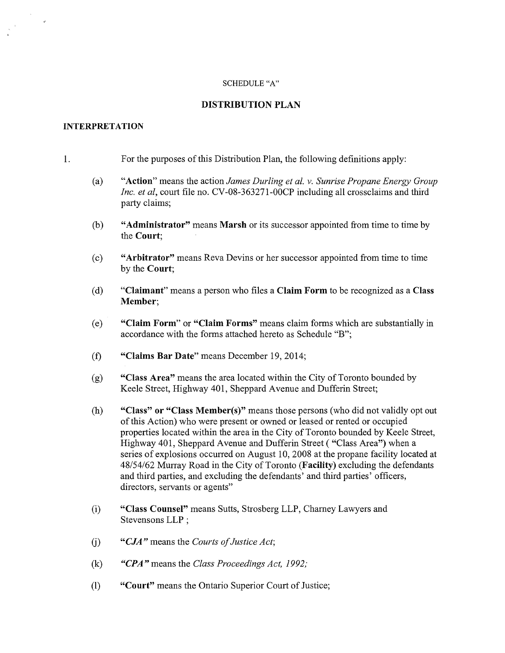#### SCHEDULE "A"

## DISTRIBUTION PLAN

#### INTERPRETATION

#### 1. For the purposes of this Distribution Plan, the following definitions apply:

- (a) "Action" means the action *James Durling et al. v. Sunrise Propane Energy Group Inc. et ai,* court file no. CV-08-363271-00CP including all crossclaims and third party claims;
- (b) "Administrator" means Marsh or its successor appointed from time to time by the Court;
- (c) "Arbitrator" means Reva Devins or her successor appointed from time to time by the Court;
- (d) "Claimant" means a person who files a Claim Form to be recognized as a Class Member;
- (e) "Claim Form" or "Claim Forms" means claim forms which are substantially in accordance with the forms attached hereto as Schedule "B";
- (f) "Claims Bar Date" means December 19,2014;
- (g) "Class Area" means the area located within the City of Toronto bounded by Keele Street, Highway 401, Sheppard Avenue and Dufferin Street;
- (h) "Class" or "Class Member(s)" means those persons (who did not validly opt out of this Action) who were present or owned or leased or rented or occupied properties located within the area in the City of Toronto bounded by Keele Street, Highway 401, Sheppard Avenue and Dufferin Street ("Class Area") when a series of explosions occurred on August 10, 2008 at the propane facility located at 48/54/62 Murray Road in the City of Toronto (Facility) excluding the defendants and third parties, and excluding the defendants' and third parties' officers, directors, servants or agents"
- (i) "Class Counsel" means Sutts, Strosberg LLP, Charney Lawyers and Stevensons LLP ;
- (j) *"CJA"* means the *Courts of Justice Act;*
- (k) *"CPA"* means the *Class Proceedings Act, 1992;*
- (1) "Court" means the Ontario Superior Court of Justice;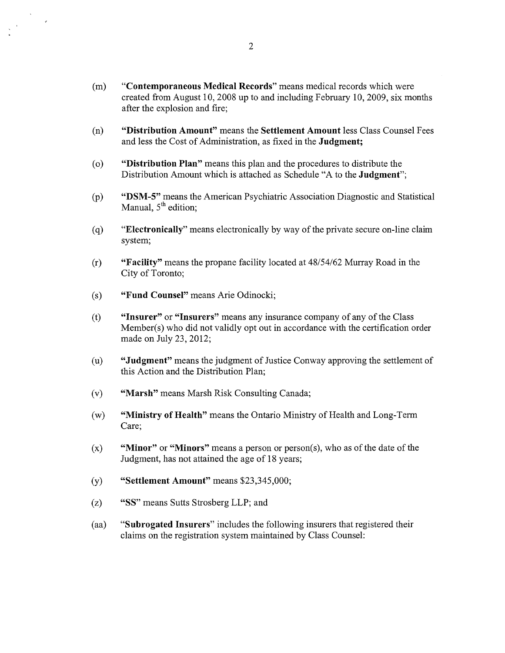- (m) **"Contemporaneous Medical Records"** means medical records which were created from August 10, 2008 up to and including February 10,2009, six months after the explosion and fire;
- (n) **"Distribution Amount"** means the **Settlement Amount** less Class Counsel Fees and less the Cost of Administration, as fixed in the **Judgment;**
- (0) **"Distribution Plan"** means this plan and the procedures to distribute the Distribution Amount which is attached as Schedule "A to the **Judgment";**
- (p) **"DSM-5"** means the American Psychiatric Association Diagnostic and Statistical Manual,  $5<sup>th</sup>$  edition;
- (q) **"Electronically"** means electronically by way of the private secure on-line claim system;
- (r) **"Facility"** means the propane facility located at *48/54/62* Murray Road in the City of Toronto;
- (s) **"Fund Counsel"** means Arie Odinocki;
- (t) **"Insurer" or "Insurers"** means any insurance company of any of the Class Member(s) who did not validly opt out in accordance with the certification order made on July 23, 2012;
- (u) **"Judgment"** means the judgment of Justice Conway approving the settlement of this Action and the Distribution Plan;
- (v) **"Marsh"** means Marsh Risk Consulting Canada;
- (w) **"Ministry** of Health" means the Ontario Ministry of Health and Long-Term Care;
- (x) **"Minor" or "Minors"** means a person or person(s), who as of the date of the Judgment, has not attained the age of 18 years;
- (y) **"Settlement Amount"** means \$23,345,000;
- (z) "SS" means Sutts Strosberg LLP; and
- (aa) **"Subrogated Insurers"** includes the following insurers that registered their claims on the registration system maintained by Class Counsel: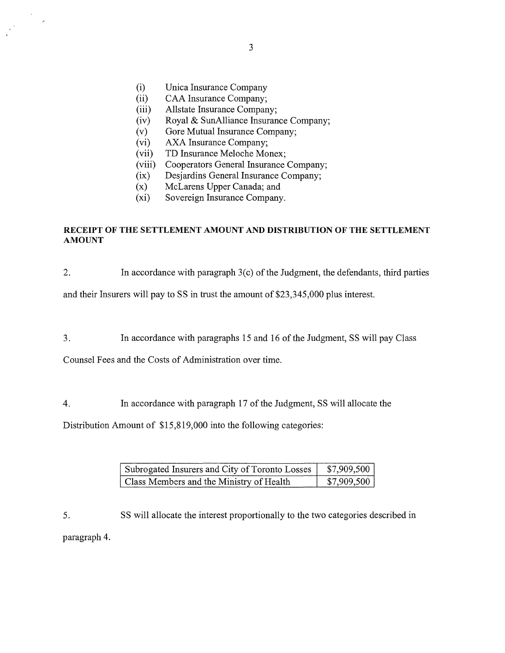(i) Unica Insurance Company

 $\overline{\phantom{a}}$ 

- (ii) CAA Insurance Company;
- (iii) Allstate Insurance Company;
- (iv) Royal & SunAlliance Insurance Company;
- $(v)$  Gore Mutual Insurance Company;
- (vi) AXA Insurance Company;
- (vii) TD Insurance Meloche Monex;
- (viii) Cooperators General Insurance Company;
- (ix) Desjardins General Insurance Company;
- (x) McLarens Upper Canada; and<br>(xi) Sovereign Insurance Company
- Sovereign Insurance Company.

# RECEIPT OF THE SETTLEMENT AMOUNT AND DISTRIBUTION OF THE SETTLEMENT AMOUNT

2. In accordance with paragraph 3(c) of the Judgment, the defendants, third parties

and their Insurers will pay to SS in trust the amount of \$23,345,000 plus interest.

3. In accordance with paragraphs 15 and 16 of the Judgment, SS will pay Class

Counsel Fees and the Costs of Administration over time.

4. In accordance with paragraph 17 of the Judgment, SS will allocate the

Distribution Amount of \$15,819,000 into the following categories:

| Subrogated Insurers and City of Toronto Losses | \$7,909,500 |
|------------------------------------------------|-------------|
| Class Members and the Ministry of Health       | \$7,909,500 |

5. SS will allocate the interest proportionally to the two categories described in paragraph 4.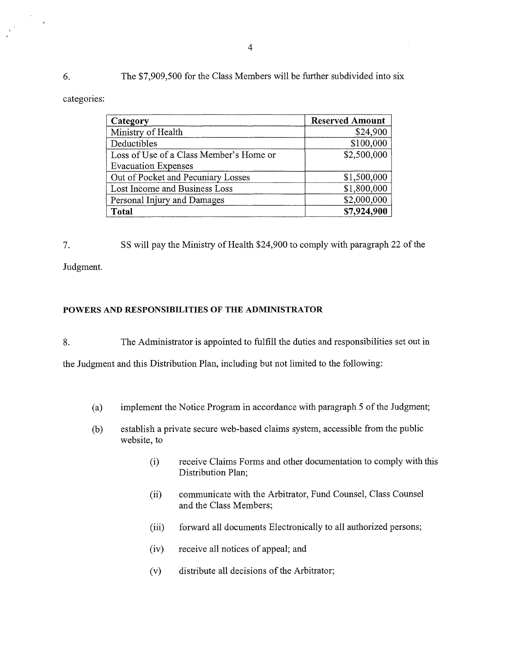6. The \$7,909,500 for the Class Members will be further subdivided into six

categories:

 $\frac{1}{\sqrt{2}}\sum_{i=1}^{n-1}\frac{1}{\sqrt{2}}\left(\frac{1}{\sqrt{2}}\right)^2\left(\frac{1}{\sqrt{2}}\right)^2.$ 

 $\lambda$ 

| Category                                | <b>Reserved Amount</b> |
|-----------------------------------------|------------------------|
| Ministry of Health                      | \$24,900               |
| Deductibles                             | \$100,000              |
| Loss of Use of a Class Member's Home or | \$2,500,000            |
| <b>Evacuation Expenses</b>              |                        |
| Out of Pocket and Pecuniary Losses      | \$1,500,000            |
| Lost Income and Business Loss           | \$1,800,000            |
| Personal Injury and Damages             | \$2,000,000            |
| <b>Total</b>                            | \$7,924,900            |

7. SS will pay the Ministry of Health \$24,900 to comply with paragraph 22 of the

Judgment.

# POWERS AND RESPONSIBILITIES OF THE ADMINISTRATOR

8. The Administrator is appointed to fulfill the duties and responsibilities set out in

the Judgment and this Distribution Plan, including but not limited to the following:

- (a) implement the Notice Program in accordance with paragraph 5 of the Judgment;
- (b) establish a private secure web-based claims system, accessible from the public website, to
	- (i) receive Claims Forms and other documentation to comply with this Distribution Plan;
	- (ii) communicate with the Arbitrator, Fund Counsel, Class Counsel and the Class Members;
	- (iii) forward all documents Electronically to all authorized persons;
	- (iv) receive all notices of appeal; and
	- (v) distribute all decisions of the Arbitrator;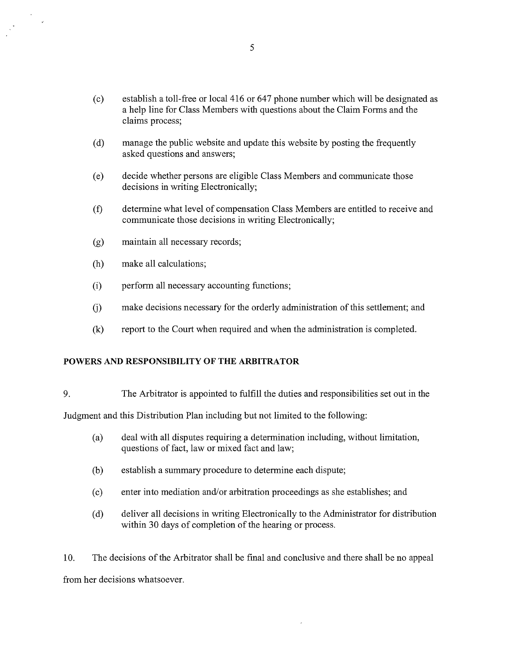- (c) establish a toll-free or local 416 or 647 phone number which will be designated as a help line for Class Members with questions about the Claim Forms and the claims process;
- (d) manage the public website and update this website by posting the frequently asked questions and answers;
- (e) decide whether persons are eligible Class Members and communicate those decisions in writing Electronically;
- (f) determine what level of compensation Class Members are entitled to receive and communicate those decisions in writing Electronically;
- (g) maintain all necessary records;
- (h) make all calculations;

- (i) perform all necessary accounting functions;
- G) make decisions necessary for the orderly administration of this settlement; and
- (k) report to the Court when required and when the administration is completed.

## POWERS AND RESPONSIBILITY OF THE ARBITRATOR

9. The Arbitrator is appointed to fulfill the duties and responsibilities set out in the

Judgment and this Distribution Plan including but not limited to the following:

- (a) deal with all disputes requiring a determination including, without limitation, questions of fact, law or mixed fact and law;
- (b) establish a summary procedure to determine each dispute;
- (c) enter into mediation and/or arbitration proceedings as she establishes; and
- (d) deliver all decisions in writing Electronically to the Administrator for distribution within 30 days of completion of the hearing or process.

10. The decisions of the Arbitrator shall be final and conclusive and there shall be no appeal from her decisions whatsoever.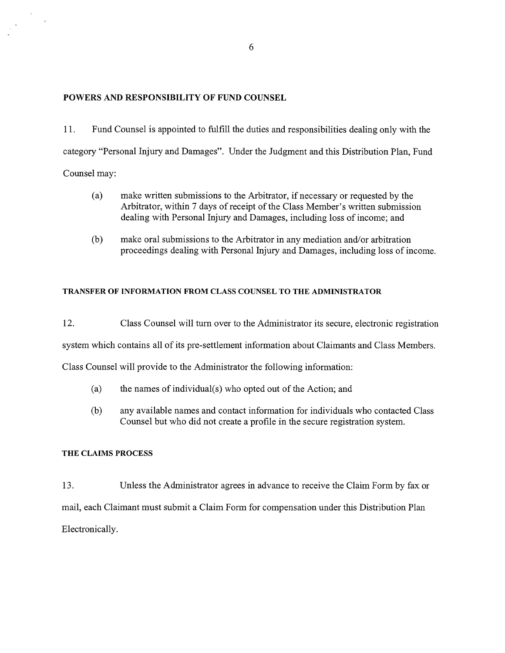## POWERS AND RESPONSIBILITY OF FUND COUNSEL

11. Fund Counsel is appointed to fulfill the duties and responsibilities dealing only with the category "Personal Injury and Damages". Under the Judgment and this Distribution Plan, Fund Counsel may:

- (a) make written submissions to the Arbitrator, if necessary or requested by the Arbitrator, within 7 days of receipt of the Class Member's written submission dealing with Personal Injury and Damages, including loss of income; and
- (b) make oral submissions to the Arbitrator in any mediation and/or arbitration proceedings dealing with Personal Injury and Damages, including loss of income.

## TRANSFER OF INFORMATION FROM CLASS COUNSEL TO THE ADMINISTRATOR

12. Class Counsel will turn over to the Administrator its secure, electronic registration

system which contains all of its pre-settlement information about Claimants and Class Members.

Class Counsel will provide to the Administrator the following information:

- (a) the names of individual(s) who opted out of the Action; and
- (b) any available names and contact information for individuals who contacted Class Counsel but who did not create a profile in the secure registration system.

### THE CLAIMS PROCESS

13. Unless the Administrator agrees in advance to receive the Claim Form by fax or mail, each Claimant must submit a Claim Form for compensation under this Distribution Plan Electronically.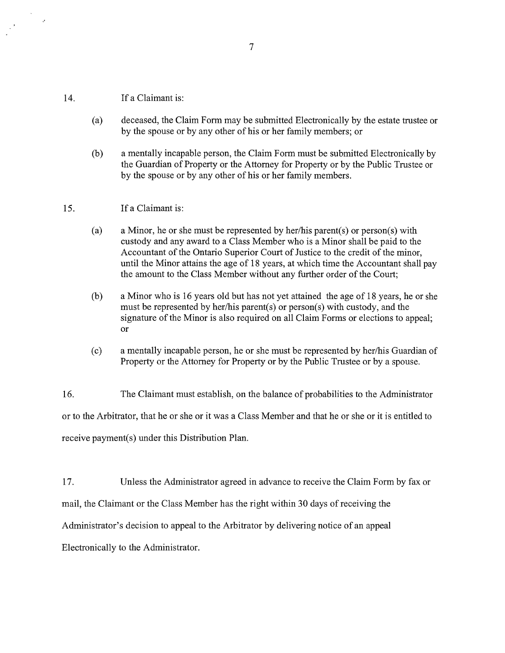#### 14. If a Claimant is:

 $\mathcal{P}$ 

- (a) deceased, the Claim Form may be submitted Electronically by the estate trustee or by the spouse or by any other of his or her family members; or
- (b) a mentally incapable person, the Claim Form must be submitted Electronically by the Guardian of Property or the Attorney for Property or by the Public Trustee or by the spouse or by any other of his or her family members.

#### 15. If a Claimant is:

- (a) a Minor, he or she must be represented by her/his parent(s) or person(s) with custody and any award to a Class Member who is a Minor shall be paid to the Accountant of the Ontario Superior Court of Justice to the credit of the minor, until the Minor attains the age of 18 years, at which time the Accountant shall pay the amount to the Class Member without any further order of the Court;
- (b) a Minor who is 16 years old but has not yet attained the age of 18 years, he or she must be represented by her/his parent(s) or person(s) with custody, and the signature of the Minor is also required on all Claim Forms or elections to appeal; or
- (c) a mentally incapable person, he or she must be represented by her/his Guardian of Property or the Attorney for Property or by the Public Trustee or by a spouse.

16. The Claimant must establish, on the balance of probabilities to the Administrator or to the Arbitrator, that he or she or it was a Class Member and that he or she or it is entitled to receive payment(s) under this Distribution Plan.

17. Unless the Administrator agreed in advance to receive the Claim Form by fax or mail, the Claimant or the Class Member has the right within 30 days of receiving the Administrator's decision to appeal to the Arbitrator by delivering notice of an appeal Electronically to the Administrator.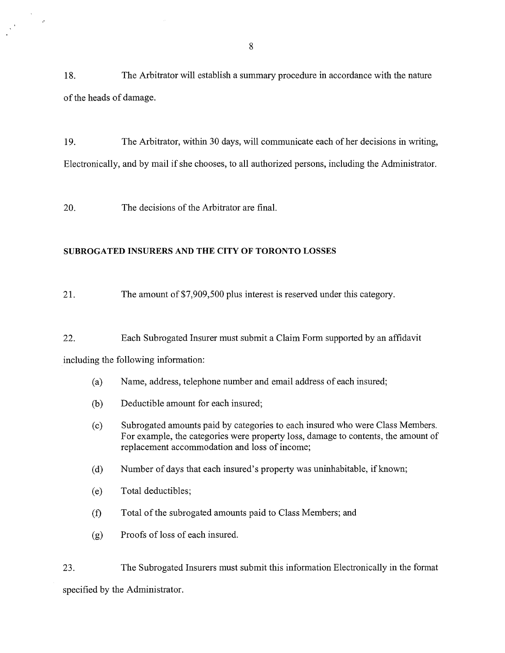18. The Arbitrator will establish a summary procedure in accordance with the nature of the heads of damage.

19. The Arbitrator, within 30 days, will communicate each of her decisions in writing, Electronically, and by mail if she chooses, to all authorized persons, including the Administrator.

20. The decisions of the Arbitrator are final.

## SUBROGATED INSURERS AND THE CITY OF TORONTO LOSSES

21. The amount of \$7,909,500 plus interest is reserved under this category.

22. Each Subrogated Insurer must submit a Claim Form supported by an affidavit

including the following information:

 $\frac{1}{\sqrt{2}}\sum_{i=1}^{N} \frac{1}{\sqrt{2}}\left(\frac{1}{\sqrt{2}}\right)^2$ 

 $\sim$ 

- (a) Name, address, telephone number and email address of each insured;
- (b) Deductible amount for each insured;
- (c) Subrogated amounts paid by categories to each insured who were Class Members. For example, the categories were property loss, damage to contents, the amount of replacement accommodation and loss of income;
- (d) Number of days that each insured's property was uninhabitable, if known;
- (e) Total deductibles;
- (f) Total of the subrogated amounts paid to Class Members; and
- (g) Proofs of loss of each insured.

23. The Subrogated Insurers must submit this information Electronically in the format specified by the Administrator.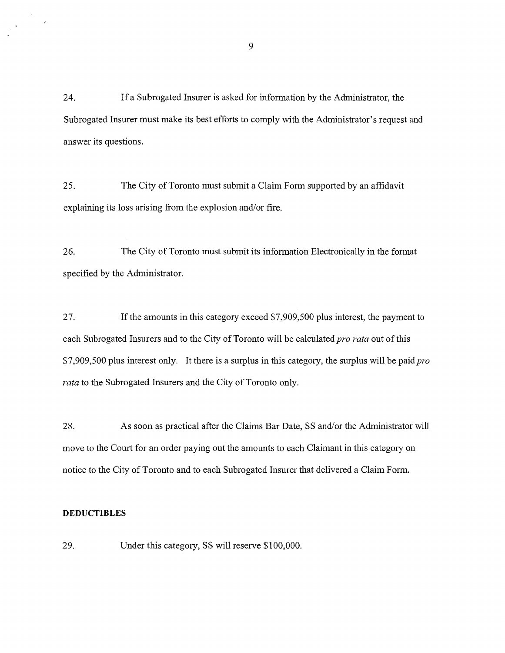24. If a Subrogated Insurer is asked for information by the Administrator, the Subrogated Insurer must make its best efforts to comply with the Administrator's request and answer its questions.

25. The City of Toronto must submit a Claim Form supported by an affidavit explaining its loss arising from the explosion and/or fire.

26. The City of Toronto must submit its information Electronically in the format specified by the Administrator.

27. If the amounts in this category exceed \$7,909,500 plus interest, the payment to each Subrogated Insurers and to the City of Toronto will be calculated *pro rata* out of this \$7,909,500 plus interest only. It there is a surplus in this category, the surplus will be paid *pro rata* to the Subrogated Insurers and the City of Toronto only.

28. As soon as practical after the Claims Bar Date, SS and/or the Administrator will move to the Court for an order paying out the amounts to each Claimant in this category on notice to the City of Toronto and to each Subrogated Insurer that delivered a Claim Form.

## **DEDUCTIBLES**

 $\mathcal{A}$ 

29. Under this category, SS will reserve \$100,000.

9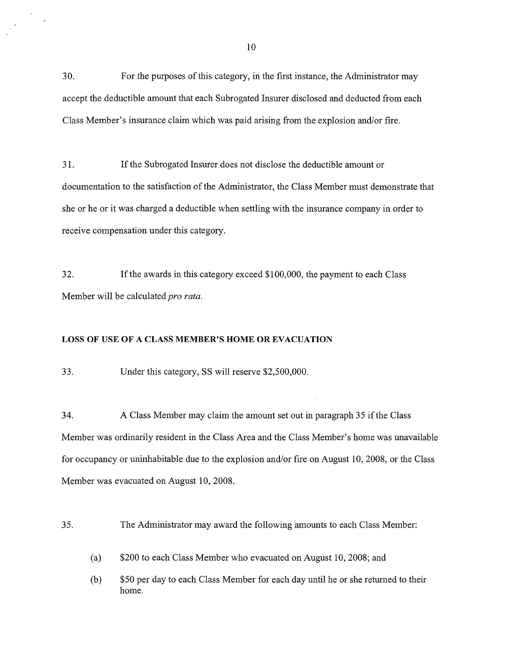30. For the purposes ofthis category, in the first instance, the Administrator may accept the deductible amount that each Subrogated Insurer disclosed and deducted from each Class Member's insurance claim which was paid arising from the explosion and/or fire.

31. If the Subrogated Insurer does not disclose the deductible amount or documentation to the satisfaction of the Administrator, the Class Member must demonstrate that she or he or it was charged a deductible when settling with the insurance company in order to receive compensation under this category.

32. If the awards in this category exceed \$100,000, the payment to each Class Member will be calculated *pro rata.* 

#### LOSS OF USE OF A CLASS MEMBER'S HOME OR EVACUATION

33. Under this category, SS will reserve \$2,500,000.

 $\mu$ 

34. A Class Member may claim the amount set out in paragraph 35 ifthe Class Member was ordinarily resident in the Class Area and the Class Member's home was unavailable for occupancy or uninhabitable due to the explosion and/or fire on August 10,2008, or the Class Member was evacuated on August 10,2008.

35. The Administrator may award the following amounts to each Class Member:

(a) \$200 to each Class Member who evacuated on August 10, 2008; and

(b) \$50 per day to each Class Member for each day until he or she returned to their home.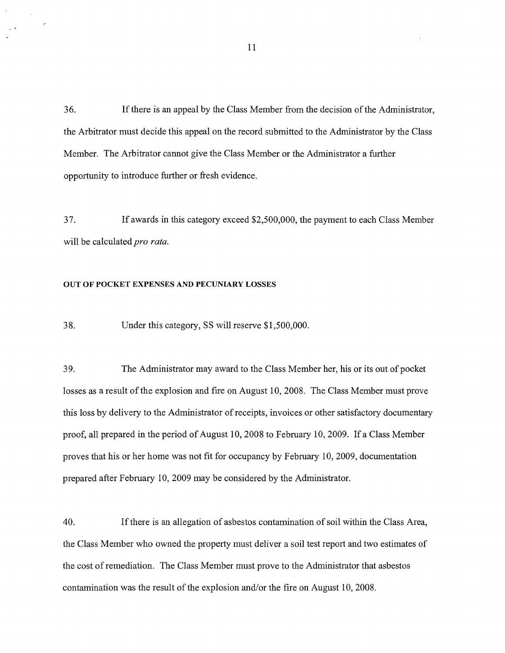36. Ifthere is an appeal by the Class Member from the decision of the Administrator, the Arbitrator must decide this appeal on the record submitted to the Administrator by the Class Member. The Arbitrator cannot give the Class Member or the Administrator a further opportunity to introduce further or fresh evidence.

37. If awards in this category exceed \$2,500,000, the payment to each Class Member will be calculated *pro rata.* 

### OUT OF POCKET EXPENSES AND PECUNIARY LOSSES

38. Under this category, SS will reserve \$1,500,000.

39. The Administrator may award to the Class Member her, his or its out of pocket losses as a result of the explosion and fire on August 10, 2008. The Class Member must prove this loss by delivery to the Administrator of receipts, invoices or other satisfactory documentary proof, all prepared in the period of August 10, 2008 to February 10, 2009. If a Class Member proves that his or her home was not fit for occupancy by February 10,2009, documentation prepared after February 10,2009 may be considered by the Administrator.

40. If there is an allegation of asbestos contamination of soil within the Class Area, the Class Member who owned the property must deliver a soil test report and two estimates of the cost of remediation. The Class Member must prove to the Administrator that asbestos contamination was the result of the explosion and/or the fire on August 10, 2008.

11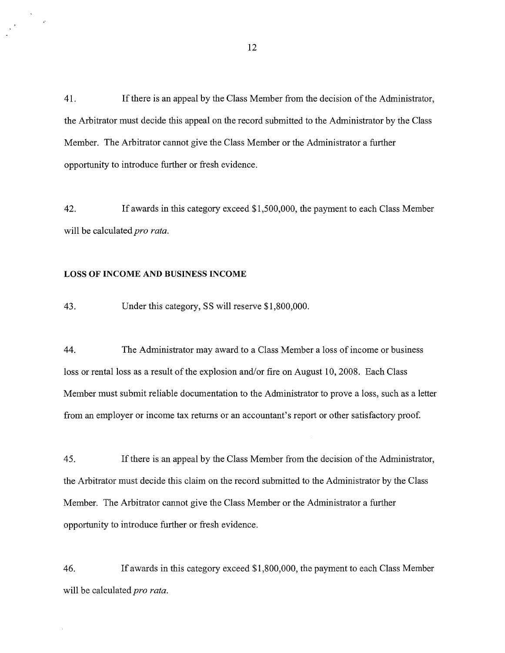41. Ifthere is an appeal by the Class Member from the decision of the Administrator, the Arbitrator must decide this appeal on the record submitted to the Administrator by the Class Member. The Arbitrator cannot give the Class Member or the Administrator a further opportunity to introduce further or fresh evidence.

42. If awards in this category exceed \$1,500,000, the payment to each Class Member will be calculated *pro rata.* 

## LOSS OF INCOME AND BUSINESS INCOME

 $\begin{pmatrix} 3 \\ 1 \\ 2 \end{pmatrix}$ 

43. Under this category, SS will reserve \$1,800,000.

44. The Administrator may award to a Class Member a loss of income or business loss or rental loss as a result of the explosion and/or fire on August 10,2008. Each Class Member must submit reliable documentation to the Administrator to prove a loss, such as a letter from an employer or income tax returns or an accountant's report or other satisfactory proof.

45. If there is an appeal by the Class Member from the decision of the Administrator, the Arbitrator must decide this claim on the record submitted to the Administrator by the Class Member. The Arbitrator cannot give the Class Member or the Administrator a further opportunity to introduce further or fresh evidence.

46. If awards in this category exceed \$1,800,000, the payment to each Class Member will be calculated *pro rata.*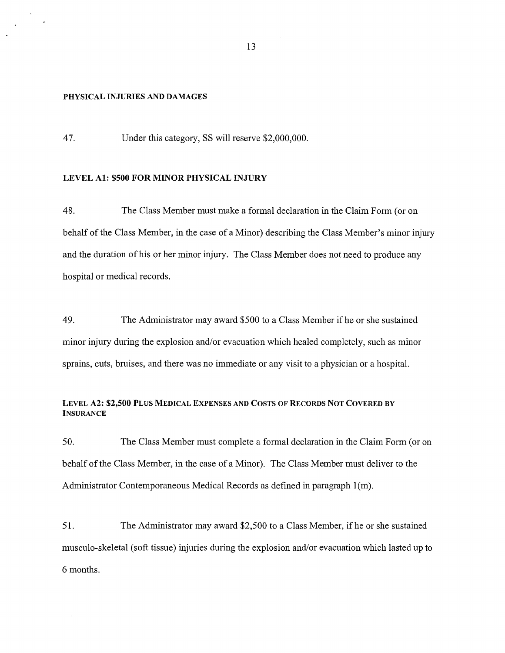#### PHYSICAL INJURIES AND DAMAGES

47. Under this category, SS will reserve \$2,000,000.

## LEVEL A1: \$500 FOR MINOR PHYSICAL INJURY

48. The Class Member must make a formal declaration in the Claim Form (or on behalf of the Class Member, in the case of a Minor) describing the Class Member's minor injury and the duration of his or her minor injury. The Class Member does not need to produce any hospital or medical records.

49. The Administrator may award \$500 to a Class Member ifhe or she sustained minor injury during the explosion and/or evacuation which healed completely, such as minor sprains, cuts, bruises, and there was no immediate or any visit to a physician or a hospital.

## LEVEL A2: \$2,500 PLUS MEDICAL EXPENSES AND COSTS OF RECORDS NOT COVERED BY **INSURANCE**

50. The Class Member must complete a formal declaration in the Claim Form (or on behalf ofthe Class Member, in the case of a Minor). The Class Member must deliver to the Administrator Contemporaneous Medical Records as defined in paragraph 1(m).

51. The Administrator may award \$2,500 to a Class Member, ifhe or she sustained musculo-skeletal (soft tissue) injuries during the explosion and/or evacuation which lasted up to 6 months.

13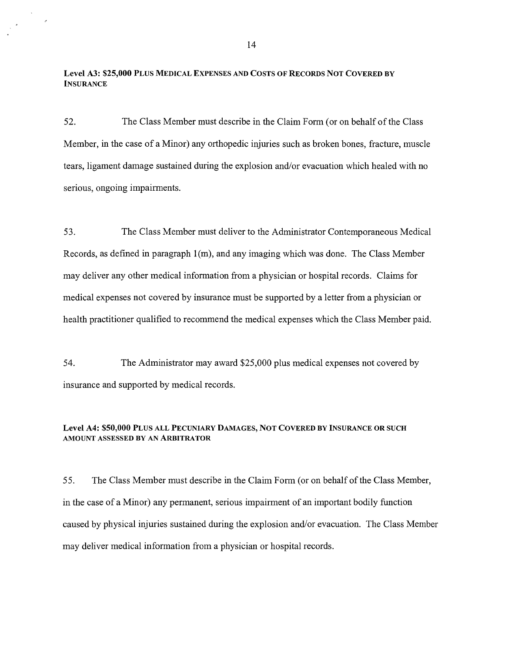Level A3: \$25,000 PLUS MEDICAL EXPENSES AND COSTS OF RECORDS NOT COVERED BY **INSURANCE** 

 $\epsilon$ 

52. The Class Member must describe in the Claim Form (or on behalf of the Class Member, in the case of a Minor) any orthopedic injuries such as broken bones, fracture, muscle tears, ligament damage sustained during the explosion and/or evacuation which healed with no serious, ongoing impairments.

53. The Class Member must deliver to the Administrator Contemporaneous Medical Records, as defined in paragraph l(m), and any imaging which was done. The Class Member may deliver any other medical information from a physician or hospital records. Claims for medical expenses not covered by insurance must be supported by a letter from a physician or health practitioner qualified to recommend the medical expenses which the Class Member paid.

54. The Administrator may award \$25,000 plus medical expenses not covered by insurance and supported by medical records.

## Level A4: \$50,000 PLUS ALL PECUNIARY DAMAGES, NOT COVERED BY INSURANCE OR SUCH AMOUNT ASSESSED BY AN ARBITRATOR

55. The Class Member must describe in the Claim Form (or on behalf ofthe Class Member, in the case of a Minor) any permanent, serious impairment of an important bodily function caused by physical injuries sustained during the explosion and/or evacuation. The Class Member may deliver medical information from a physician or hospital records.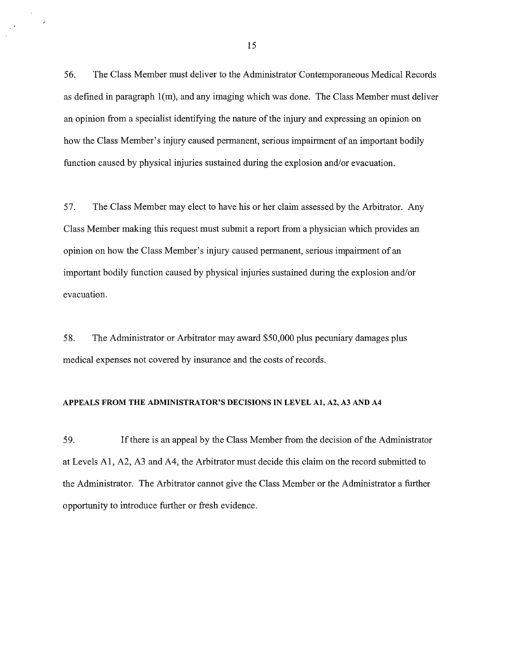56. The Class Member must deliver to the Administrator Contemporaneous Medical Records as defined in paragraph l(m), and any imaging which was done. The Class Member must deliver an opinion from a specialist identifying the nature of the injury and expressing an opinion on how the Class Member's injury caused permanent, serious impairment of an important bodily function caused by physical injuries sustained during the explosion and/or evacuation.

57. The Class Member may elect to have his or her claim assessed by the Arbitrator. Any Class Member making this request must submit a report from a physician which provides an opinion on how the Class Member's injury caused permanent, serious impairment of an important bodily function caused by physical injuries sustained during the explosion and/or evacuation.

58. The Administrator or Arbitrator may award \$50,000 plus pecuniary damages plus medical expenses not covered by insurance and the costs of records.

## APPEALS FROM THE ADMINISTRATOR'S DECISIONS IN LEVEL A1, A2, A3 AND A4

59. Ifthere is an appeal by the Class Member from the decision of the Administrator at Levels AI, A2, A3 and A4, the Arbitrator must decide this claim on the record submitted to the Administrator. The Arbitrator cannot give the Class Member or the Administrator a further opportunity to introduce further or fresh evidence.

V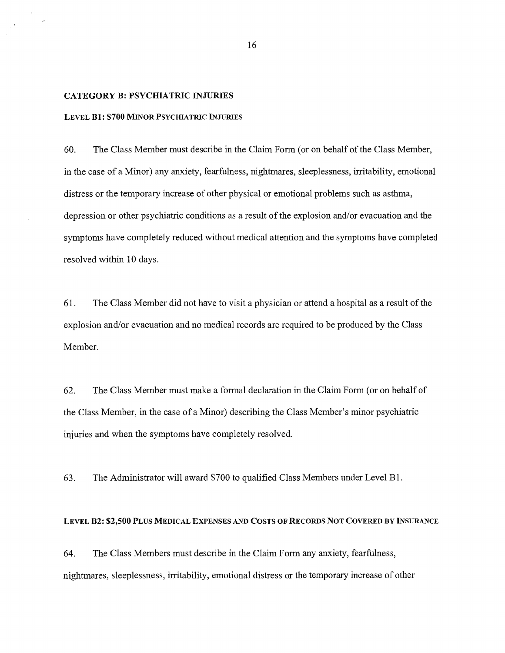### CATEGORY B: PSYCHIATRIC INJURIES

#### LEVEL Bl: \$700 MINOR PSYCHIATRIC INJURIES

60. The Class Member must describe in the Claim Form (or on behalf of the Class Member, in the case of a Minor) any anxiety, fearfulness, nightmares, sleeplessness, irritability, emotional distress or the temporary increase of other physical or emotional problems such as asthma, depression or other psychiatric conditions as a result of the explosion and/or evacuation and the symptoms have completely reduced without medical attention and the symptoms have completed resolved within 10 days.

61. The Class Member did not have to visit a physician or attend a hospital as a result of the explosion and/or evacuation and no medical records are required to be produced by the Class Member.

62. The Class Member must make a formal declaration in the Claim Form (or on behalf of the Class Member, in the case ofa Minor) describing the Class Member's minor psychiatric injuries and when the symptoms have completely resolved.

63. The Administrator will award \$700 to qualified Class Members under Level Bl.

### LEVEL B2: \$2,500 PLUS MEDICAL EXPENSES AND COSTS OF RECORDS NOT COVERED BY INSURANCE

64. The Class Members must describe in the Claim Form any anxiety, fearfulness, nightmares, sleeplessness, irritability, emotional distress or the temporary increase of other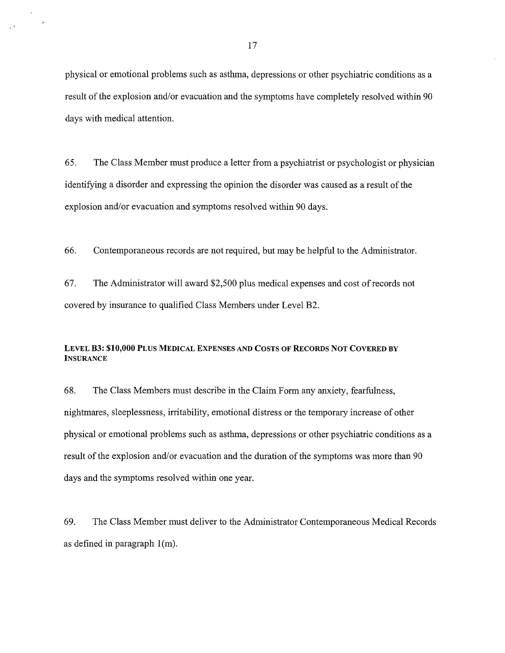physical or emotional problems such as asthma, depressions or other psychiatric conditions as a result of the explosion and/or evacuation and the symptoms have completely resolved within 90 days with medical attention.

65. The Class Member must produce a letter from a psychiatrist or psychologist or physician identifying a disorder and expressing the opinion the disorder was caused as a result of the explosion and/or evacuation and symptoms resolved within 90 days.

66. Contemporaneous records are not required, but may be helpful to the Administrator.

67. The Administrator will award \$2,500 plus medical expenses and cost of records not covered by insurance to qualified Class Members under Level B2.

## LEVEL B3: \$10,000 PLUS MEDICAL EXPENSES AND COSTS OF RECORDS NOT COVERED BY **INSURANCE**

68. The Class Members must describe in the Claim Form any anxiety, fearfulness, nightmares, sleeplessness, irritability, emotional distress or the temporary increase of other physical or emotional problems such as asthma, depressions or other psychiatric conditions as a result of the explosion and/or evacuation and the duration of the symptoms was more than 90 days and the symptoms resolved within one year.

69. The Class Member must deliver to the Administrator Contemporaneous Medical Records as defined in paragraph l(m).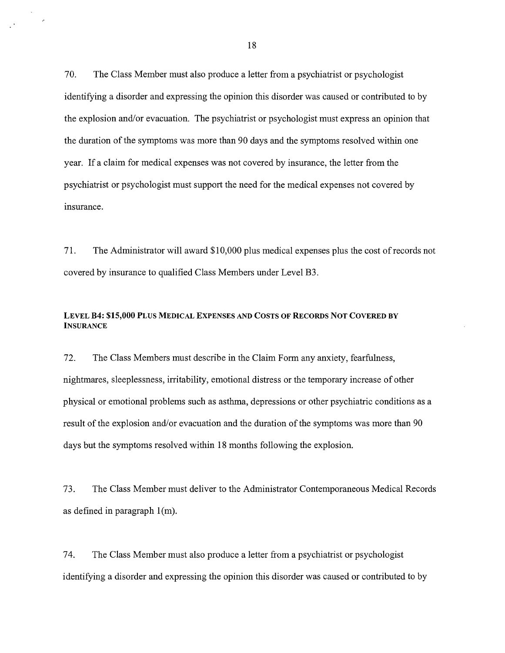70. The Class Member must also produce a letter from a psychiatrist or psychologist identifying a disorder and expressing the opinion this disorder was caused or contributed to by the explosion and/or evacuation. The psychiatrist or psychologist must express an opinion that the duration of the symptoms was more than 90 days and the symptoms resolved within one year. If a claim for medical expenses was not covered by insurance, the letter from the psychiatrist or psychologist must support the need for the medical expenses not covered by insurance.

71. The Administrator will award \$10,000 plus medical expenses plus the cost of records not covered by insurance to qualified Class Members under Level B3.

## LEVEL B4: \$15,000 PLUS MEDICAL EXPENSES AND COSTS OF RECORDS NOT COVERED BY **INSURANCE**

72. The Class Members must describe in the Claim Form any anxiety, fearfulness, nightmares, sleeplessness, irritability, emotional distress or the temporary increase of other physical or emotional problems such as asthma, depressions or other psychiatric conditions as a result of the explosion and/or evacuation and the duration of the symptoms was more than 90 days but the symptoms resolved within 18 months following the explosion.

73. The Class Member must deliver to the Administrator Contemporaneous Medical Records as defined in paragraph l(m).

74. The Class Member must also produce a letter from a psychiatrist or psychologist identifying a disorder and expressing the opinion this disorder was caused or contributed to by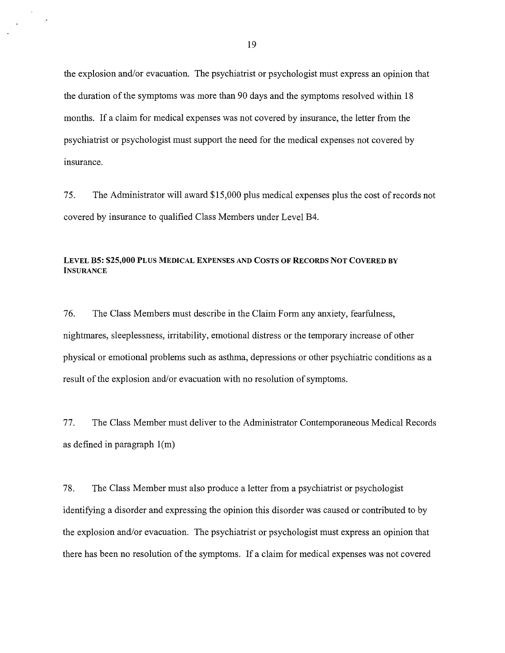the explosion and/or evacuation. The psychiatrist or psychologist must express an opinion that the duration of the symptoms was more than 90 days and the symptoms resolved within 18 months. If a claim for medical expenses was not covered by insurance, the letter from the psychiatrist or psychologist must support the need for the medical expenses not covered by insurance.

75. The Administrator will award \$15,000 plus medical expenses plus the cost of records not covered by insurance to qualified Class Members under Level B4.

## LEVEL B5: \$25,000 PLUS MEDICAL EXPENSES AND COSTS OF RECORDS NOT COVERED BY **INSURANCE**

76. The Class Members must describe in the Claim Form any anxiety, fearfulness, nightmares, sleeplessness, irritability, emotional distress or the temporary increase of other physical or emotional problems such as asthma, depressions or other psychiatric conditions as a result of the explosion and/or evacuation with no resolution of symptoms.

77. The Class Member must deliver to the Administrator Contemporaneous Medical Records as defined in paragraph l(m)

78. The Class Member must also produce a letter from a psychiatrist or psychologist identifying a disorder and expressing the opinion this disorder was caused or contributed to by the explosion and/or evacuation. The psychiatrist or psychologist must express an opinion that there has been no resolution of the symptoms. If a claim for medical expenses was not covered

 $\frac{1}{\sqrt{2}}\sum_{i=1}^{n-1}\frac{1}{\sqrt{2}}\left(\frac{1}{\sqrt{2}}\right)^2\left(\frac{1}{\sqrt{2}}\right)^2.$ 

 $\mathcal{L}$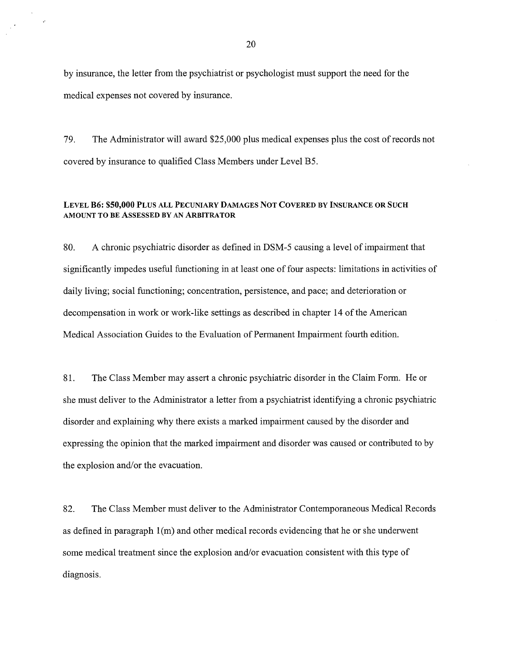by insurance, the letter from the psychiatrist or psychologist must support the need for the medical expenses not covered by insurance.

 $\hat{\mathcal{A}}^{(k)}$ 

79. The Administrator will award \$25,000 plus medical expenses plus the cost of records not covered by insurance to qualified Class Members under Level B5.

## LEVEL B6: \$50,000 PLUS ALL PECUNIARY DAMAGES NOT COVERED BY INSURANCE OR SUCH AMOUNT TO BE ASSESSED BY AN ARBITRATOR

80. A chronic psychiatric disorder as defined in DSM-5 causing a level of impairment that significantly impedes useful functioning in at least one of four aspects: limitations in activities of daily living; social functioning; concentration, persistence, and pace; and deterioration or decompensation in work or work-like settings as described in chapter 14 of the American Medical Association Guides to the Evaluation of Permanent Impairment fourth edition.

81. The Class Member may assert a chronic psychiatric disorder in the Claim Form. He or she must deliver to the Administrator a letter from a psychiatrist identifying a chronic psychiatric disorder and explaining why there exists a marked impairment caused by the disorder and expressing the opinion that the marked impairment and disorder was caused or contributed to by the explosion and/or the evacuation.

82. The Class Member must deliver to the Administrator Contemporaneous Medical Records as defined in paragraph l(m) and other medical records evidencing that he or she underwent some medical treatment since the explosion and/or evacuation consistent with this type of diagnosis.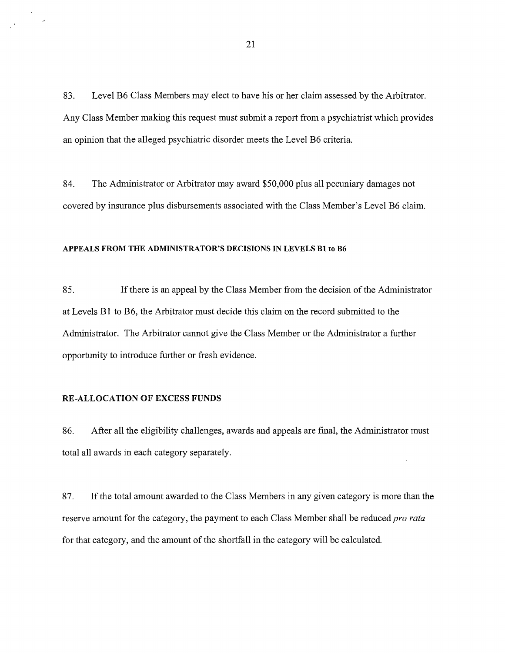83. Level B6 Class Members may elect to have his or her claim assessed by the Arbitrator. Any Class Member making this request must submit a report from a psychiatrist which provides an opinion that the alleged psychiatric disorder meets the Level B6 criteria.

84. The Administrator or Arbitrator may award \$50,000 plus all pecuniary damages not covered by insurance plus disbursements associated with the Class Member's Level B6 claim.

#### APPEALS FROM THE ADMINISTRATOR'S DECISIONS IN LEVELS Bl to B6

85. If there is an appeal by the Class Member from the decision of the Administrator at Levels B1 to B6, the Arbitrator must decide this claim on the record submitted to the Administrator. The Arbitrator cannot give the Class Member or the Administrator a further opportunity to introduce further or fresh evidence.

### RE-ALLOCATION OF EXCESS FUNDS

86. After all the eligibility challenges, awards and appeals are final, the Administrator must total all awards in each category separately.

87. If the total amount awarded to the Class Members in any given category is more than the reserve amount for the category, the payment to each Class Member shall be reduced *pro rata*  for that category, and the amount of the shortfall in the category will be calculated.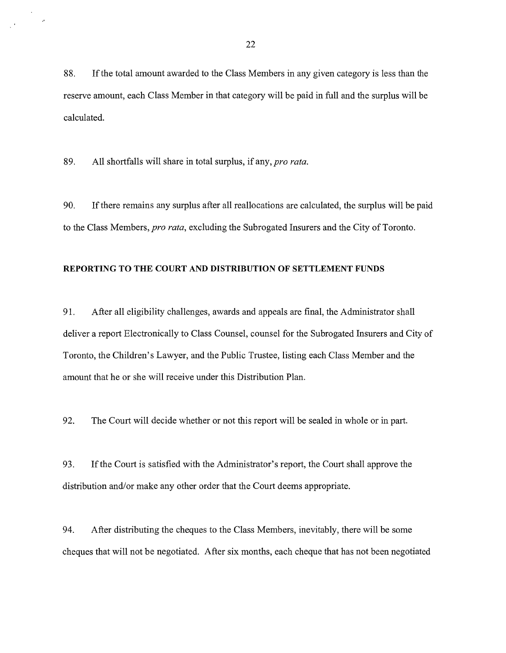88. If the total amount awarded to the Class Members in any given category is less than the reserve amount, each Class Member in that category will be paid in full and the surplus will be calculated.

89. All shortfalls will share in total surplus, if any, *pro rata*.

90. Ifthere remains any surplus after all reallocations are calculated, the surplus will be paid to the Class Members, *pro rata,* excluding the Subrogated Insurers and the City of Toronto.

### REPORTING TO THE COURT AND DISTRIBUTION OF SETTLEMENT FUNDS

91. After all eligibility challenges, awards and appeals are final, the Administrator shall deliver a report Electronically to Class Counsel, counsel for the Subrogated Insurers and City of Toronto, the Children's Lawyer, and the Public Trustee, listing each Class Member and the amount that he or she will receive under this Distribution Plan.

92. The Court will decide whether or not this report will be sealed in whole or in part.

93. If the Court is satisfied with the Administrator's report, the Court shall approve the distribution and/or make any other order that the Court deems appropriate.

94. After distributing the cheques to the Class Members, inevitably, there will be some cheques that will not be negotiated. After six months, each cheque that has not been negotiated